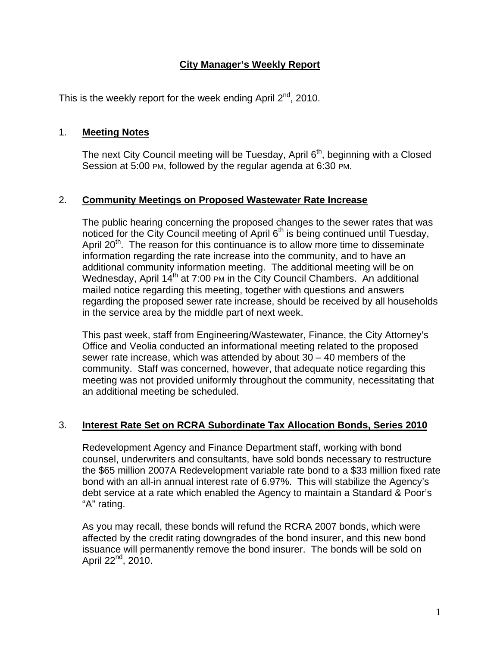## **City Manager's Weekly Report**

This is the weekly report for the week ending April  $2^{nd}$ , 2010.

### 1. **Meeting Notes**

The next City Council meeting will be Tuesday, April 6<sup>th</sup>, beginning with a Closed Session at 5:00 PM, followed by the regular agenda at 6:30 PM.

### 2. **Community Meetings on Proposed Wastewater Rate Increase**

The public hearing concerning the proposed changes to the sewer rates that was noticed for the City Council meeting of April 6<sup>th</sup> is being continued until Tuesday, April 20<sup>th</sup>. The reason for this continuance is to allow more time to disseminate information regarding the rate increase into the community, and to have an additional community information meeting. The additional meeting will be on Wednesday, April  $14^{th}$  at 7:00 PM in the City Council Chambers. An additional mailed notice regarding this meeting, together with questions and answers regarding the proposed sewer rate increase, should be received by all households in the service area by the middle part of next week.

This past week, staff from Engineering/Wastewater, Finance, the City Attorney's Office and Veolia conducted an informational meeting related to the proposed sewer rate increase, which was attended by about 30 – 40 members of the community. Staff was concerned, however, that adequate notice regarding this meeting was not provided uniformly throughout the community, necessitating that an additional meeting be scheduled.

#### 3. **Interest Rate Set on RCRA Subordinate Tax Allocation Bonds, Series 2010**

Redevelopment Agency and Finance Department staff, working with bond counsel, underwriters and consultants, have sold bonds necessary to restructure the \$65 million 2007A Redevelopment variable rate bond to a \$33 million fixed rate bond with an all-in annual interest rate of 6.97%. This will stabilize the Agency's debt service at a rate which enabled the Agency to maintain a Standard & Poor's "A" rating.

As you may recall, these bonds will refund the RCRA 2007 bonds, which were affected by the credit rating downgrades of the bond insurer, and this new bond issuance will permanently remove the bond insurer. The bonds will be sold on April  $22^{nd}$ ,  $2010$ .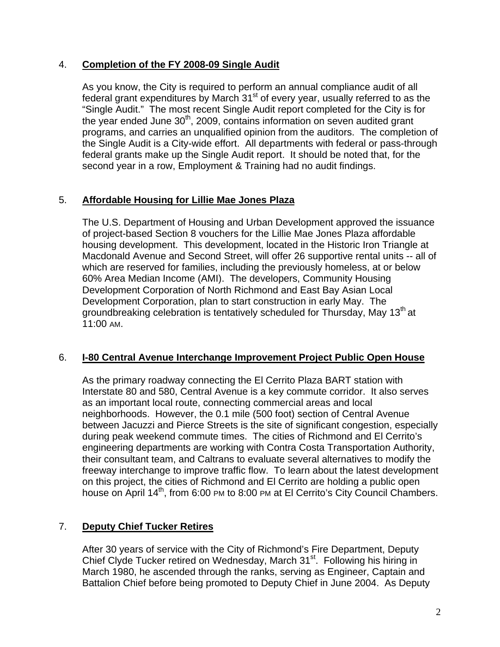### 4. **Completion of the FY 2008-09 Single Audit**

As you know, the City is required to perform an annual compliance audit of all federal grant expenditures by March  $31<sup>st</sup>$  of every year, usually referred to as the "Single Audit." The most recent Single Audit report completed for the City is for the year ended June  $30<sup>th</sup>$ , 2009, contains information on seven audited grant programs, and carries an unqualified opinion from the auditors. The completion of the Single Audit is a City-wide effort. All departments with federal or pass-through federal grants make up the Single Audit report. It should be noted that, for the second year in a row, Employment & Training had no audit findings.

## 5. **Affordable Housing for Lillie Mae Jones Plaza**

The U.S. Department of Housing and Urban Development approved the issuance of project-based Section 8 vouchers for the Lillie Mae Jones Plaza affordable housing development. This development, located in the Historic Iron Triangle at Macdonald Avenue and Second Street, will offer 26 supportive rental units -- all of which are reserved for families, including the previously homeless, at or below 60% Area Median Income (AMI). The developers, Community Housing Development Corporation of North Richmond and East Bay Asian Local Development Corporation, plan to start construction in early May. The groundbreaking celebration is tentatively scheduled for Thursday, May 13<sup>th</sup> at 11:00 AM.

#### 6. **I-80 Central Avenue Interchange Improvement Project Public Open House**

As the primary roadway connecting the El Cerrito Plaza BART station with Interstate 80 and 580, Central Avenue is a key commute corridor. It also serves as an important local route, connecting commercial areas and local neighborhoods. However, the 0.1 mile (500 foot) section of Central Avenue between Jacuzzi and Pierce Streets is the site of significant congestion, especially during peak weekend commute times. The cities of Richmond and El Cerrito's engineering departments are working with Contra Costa Transportation Authority, their consultant team, and Caltrans to evaluate several alternatives to modify the freeway interchange to improve traffic flow. To learn about the latest development on this project, the cities of Richmond and El Cerrito are holding a public open house on April 14<sup>th</sup>, from 6:00 PM to 8:00 PM at El Cerrito's City Council Chambers.

## 7. **Deputy Chief Tucker Retires**

After 30 years of service with the City of Richmond's Fire Department, Deputy Chief Clyde Tucker retired on Wednesday, March 31<sup>st</sup>. Following his hiring in March 1980, he ascended through the ranks, serving as Engineer, Captain and Battalion Chief before being promoted to Deputy Chief in June 2004. As Deputy